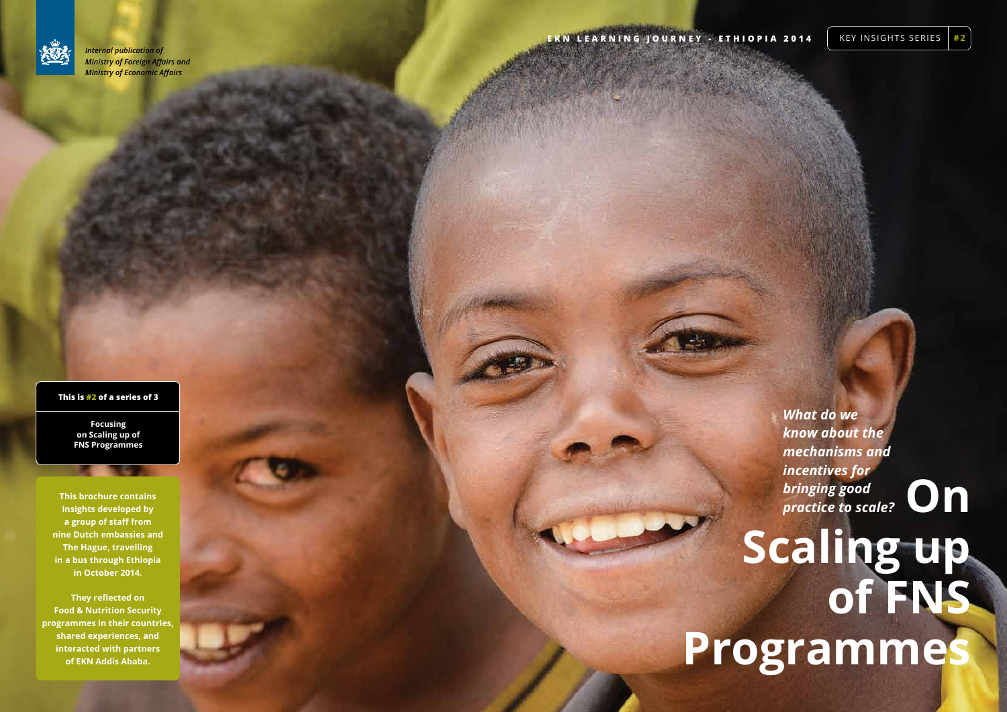**On** 

# **Scaling up of FNS Programmes**

#### **This is #2 of a series of 3**

**Focusing on Scaling up of FNS Programmes**

*What do we know about the mechanisms and incentives for bringing good practice to scale?* 

**This brochure contains insights developed by a group of staff from nine Dutch embassies and The Hague, travelling in a bus through Ethiopia in October 2014.**

**They reflected on Food & Nutrition Security programmes in their countries, shared experiences, and interacted with partners of EKN Addis Ababa.** 



*Internal publication of Ministry of Foreign Affairs and Ministry of Economic Affairs*

**EKN LEARNING JOURNEY - ETHIOPIA 2014** KEY INSIGHTS SERIES #2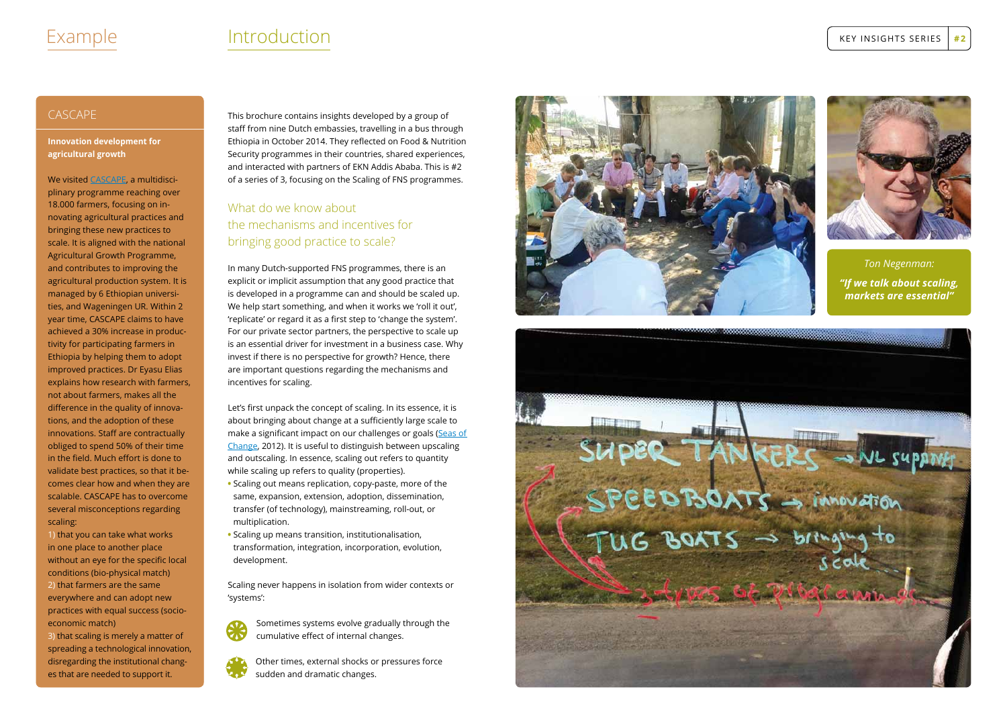#### CASCAPE

**Innovation development for agricultural growth**

We visited <u>CA[SCAP](http://www.cascape.info)E</u>, a multidisciplinary programme reaching over 18.000 farmers, focusing on in novating agricultural practices and bringing these new practices to scale. It is aligned with the national Agricultural Growth Programme, and contributes to improving the agricultural production system. It is managed by 6 Ethiopian universi ties, and Wageningen U R. Within 2 year time, CA SCAP E claims to have achieved a 30% increase in produc tivity for participating farmers in<br>Ethiopia by helping them to adopt improved practices. Dr Eyasu Elias explains how research with farmers, not about farmers, makes all the difference in the quality of innova tions, and the adoption of these innovations. Staff are contractually obliged to spend 50% of their time in the field. Much effort is done to validate best practices, so that it be comes clear how and when they are scalable. CA SCAP E has to overcome several misconceptions regarding scaling:

1) that you can take what works in one place to another place without an eye for the specific local conditions (bio-physical match) 2) that farmers are the same everywhere and can adopt new practices with equal success (socioeconomic match)

3) that scaling is merely a matter of spreading a technological innovation, disregarding the institutional chang es that are needed to support it.

This brochure contains insights developed by a group of staff from nine Dutch embassies, travelling in a bus through Ethiopia in October 2014. They reflected on Food & Nutrition Security programmes in their countries, shared experiences, and interacted with partners of EKN Addis Ababa. This is #2 of a series of 3, focusing on the Scaling of FNS programmes.

> Other times, external shocks or pressures force Sometimes systems evolve gradually through the<br>cumulative effect of internal changes.<br>Other times, external shocks or pressures force<br>sudden and dramatic changes.

#### What do we know about the mechanisms and incentives for bringing good practice to scale?

In many Dutch-supported FNS programmes, there is an explicit or implicit assumption that any good practice that is developed in a programme can and should be scaled up. We help start something, and when it works we 'roll it out', 'replicate' or regard it as a first step to 'change the system'. For our private sector partners, the perspective to scale up is an essential driver for investment in a business case. Why invest if there is no perspective for growth? Hence, there are important questions regarding the mechanisms and incentives for scaling.

Let's first unpack the concept of scaling. In its essence, it is about bringing about change at a sufficiently large scale to make a significant impact on our challenges or goals (Seas of [Change,](http://seasofchange.net) 2012). It is useful to distinguish between upscaling and outscaling. In essence, scaling out refers to quantity while scaling up refers to quality (properties).

- **•** Scaling out means replication, copy-paste, more of the same, expansion, extension, adoption, dissemination, transfer (of technology), mainstreaming, roll-out, or multiplication.
- **•** Scaling up means transition, institutionalisation, transformation, integration, incorporation, evolution, development.

Scaling never happens in isolation from wider contexts or 'systems':







# Example

# Introduction **key insights series**  $\left| \frac{1}{2} \right|$

cumulative effect of internal changes.

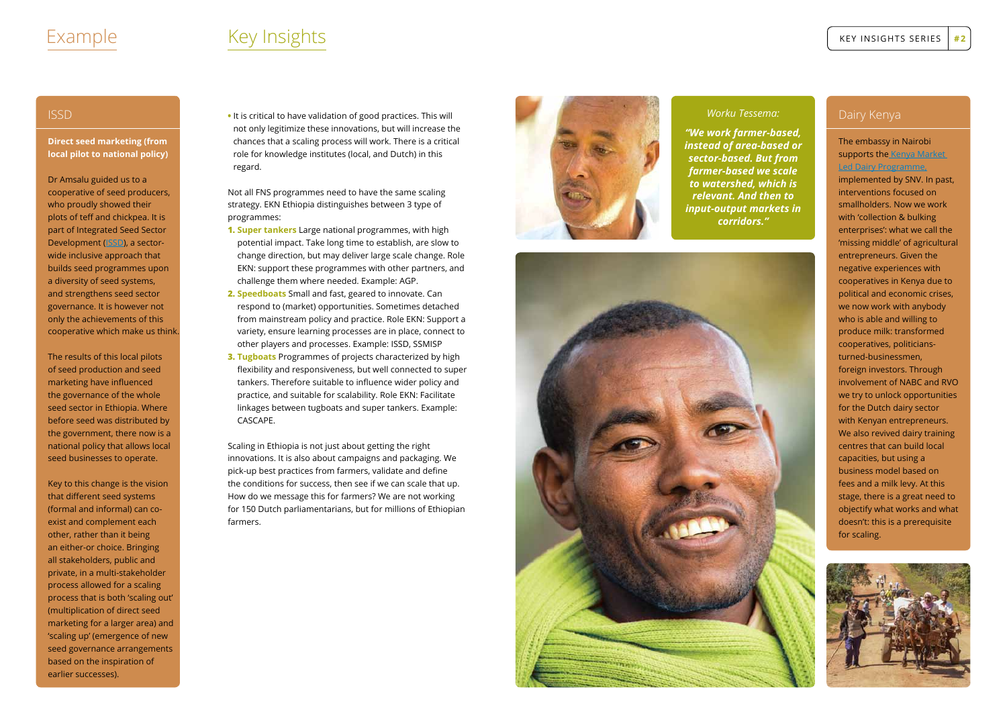#### ISSD

**Direct seed marketing (from local pilot to national policy)**

Dr Amsalu guided us to a cooperative of seed producers, who proudly showed their plots of teff and chickpea. It is part of Integrated Seed Sector Development [\(ISSD](http://www.issdethiopia.org)), a sectorwide inclusive approach that builds seed programmes upon a diversity of seed systems, and strengthens seed sector governance. It is however not only the achievements of this cooperative which make us think.

The results of this local pilots of seed production and seed marketing have influenced the governance of the whole seed sector in Ethiopia. Where before seed was distributed by the government, there now is a national policy that allows local seed businesses to operate.

Key to this change is the vision that different seed systems (formal and informal) can coexist and complement each other, rather than it being an either-or choice. Bringing all stakeholders, public and private, in a multi-stakeholder process allowed for a scaling process that is both 'scaling out' (multiplication of direct seed marketing for a larger area) and 'scaling up' (emergence of new seed governance arrangements based on the inspiration of earlier successes).

**•** It is critical to have validation of good practices. This will not only legitimize these innovations, but will increase the chances that a scaling process will work. There is a critical role for knowledge institutes (local, and Dutch) in this regard.

Not all FNS programmes need to have the same scaling strategy. EKN Ethiopia distinguishes between 3 type of programmes:

- **1. Super tankers** Large national programmes, with high potential impact. Take long time to establish, are slow to change direction, but may deliver large scale change. Role EKN: support these programmes with other partners, and challenge them where needed. Example: AGP.
- **2. Speedboats** Small and fast, geared to innovate. Can respond to (market) opportunities. Sometimes detached from mainstream policy and practice. Role EKN: Support a variety, ensure learning processes are in place, connect to other players and processes. Example: ISSD, SSMISP
- **3. Tugboats** Programmes of projects characterized by high flexibility and responsiveness, but well connected to super tankers. Therefore suitable to influence wider policy and practice, and suitable for scalability. Role EKN: Facilitate linkages between tugboats and super tankers. Example: CASCAPE.

Scaling in Ethiopia is not just about getting the right innovations. It is also about campaigns and packaging. We pick-up best practices from farmers, validate and define the conditions for success, then see if we can scale that up. How do we message this for farmers? We are not working for 150 Dutch parliamentarians, but for millions of Ethiopian farmers.



# Key Insights

#### *Worku Tessema:*

*"We work farmer-based, instead of area-based or sector-based. But from farmer-based we scale to watershed, which is relevant. And then to input-output markets in corridors."*



key insights series **# 2**

#### Dairy Kenya

#### The embassy in Nairobi supports the Kenya Market [Led Dairy Programme,](http://www.snvworld.org/en/regions/world/news/dutch-and-kenyan-dairy-sectors-increase-cooperation-and-knowledge-sharing)

implemented by SNV. In past, interventions focused on smallholders. Now we work with 'collection & bulking enterprises': what we call the 'missing middle' of agricultural entrepreneurs. Given the negative experiences with cooperatives in Kenya due to political and economic crises, we now work with anybody who is able and willing to produce milk: transformed cooperatives, politiciansturned-businessmen, foreign investors. Through involvement of NABC and RVO we try to unlock opportunities for the Dutch dairy sector with Kenyan entrepreneurs. We also revived dairy training centres that can build local capacities, but using a business model based on fees and a milk levy. At this stage, there is a great need to objectify what works and what doesn't: this is a prerequisite for scaling.



### Example